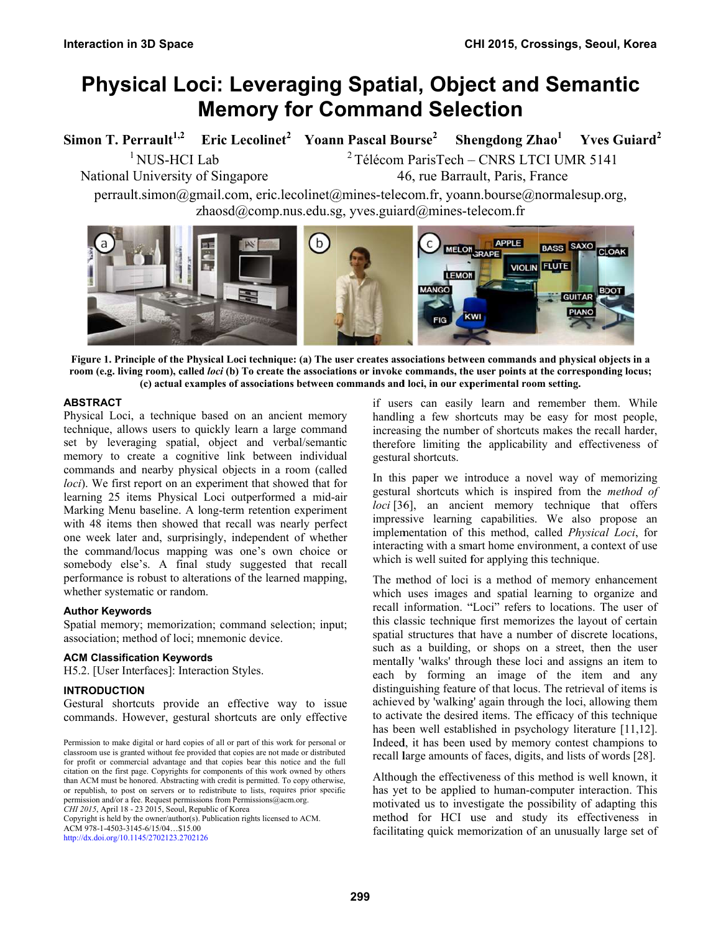# **Physical Loci: Leveraging Spatial, Object and Semantic Memory for Command Selection**

Simon T. Perrault<sup>1,2</sup> Eric Lecolinet<sup>2</sup> Yoann Pascal Bourse<sup>2</sup> Shengdong Zhao<sup>1</sup> Yves Guiard<sup>2</sup> <sup>1</sup> NUS-HCI Lab  $2$  Télécom ParisTech – CNRS LTCI UMR 5141 National University of Singapore 46, rue Barrault, Paris, France perrault.simon@gmail.com, eric.lecolinet@mines-telecom.fr, yoann.bourse@normalesup.org, zhaosd@comp.nus.edu.sg, yves.guiard@mines-telecom.fr  $\mathbf{b}$ **APPLE** MELON SRAPE BASS SAXO CLOAK **VIOLIN** FLUTE **I FMON GUITAR PIANO KIW** 

Figure 1. Principle of the Physical Loci technique: (a) The user creates associations between commands and physical objects in a room (e.g. living room), called loci (b) To create the associations or invoke commands, the user points at the corresponding locus; (c) actual examples of associations between commands and loci, in our experimental room setting.

## **A ABSTRACT**

Physical Loci, a technique based on an ancient memory technique, allows users to quickly learn a large command set by leveraging spatial, object and verbal/semantic memory to create a cognitive link between individual commands and nearby physical objects in a room (called loci). We first report on an experiment that showed that for learning 25 items Physical Loci outperformed a mid-air Marking Menu baseline. A long-term retention experiment with 48 items then showed that recall was nearly perfect one week later and, surprisingly, independent of whether th he command/ /locus mappin g was one's own choice or somebody else's. A final study suggested that recall performance is robust to alterations of the learned mapping, whether systematic or random.

# **A Author Keywo ords**

Spatial memory; memorization; command selection; input; association; method of loci; mnemonic device.

## **ACM Classification Keywords**

H5.2. [User Interfaces]: Interaction Styles.

# INTRODUCTION

Gestural shortcuts provide an effective way to issue commands. However, gestural shortcuts are only effective

Copyright is held by the owner/author(s). Publication rights licensed to ACM. A ACM 978-1-4503-314 45-6/15/04…\$15.00 h http://dx.doi.org/10.1 145/2702123.270212 26

if users can easily learn and remember them. While handling a few shortcuts may be easy for most people, increasing the number of shortcuts makes the recall harder, therefore limiting the applicability and effectiveness of gestura al shortcuts.

In this paper we introduce a novel way of memorizing gestural shortcuts which is inspired from the *method of* loci [36], an ancient memory technique that offers impressive learning capabilities. We also propose an implementation of this method, called *Physical Loci*, for interacting with a smart home environment, a context of use which is well suited for applying this technique.

The method of loci is a method of memory enhancement which uses images and spatial learning to organize and recall information. "Loci" refers to locations. The user of this classic technique first memorizes the layout of certain spatial structures that have a number of discrete locations, such as a building, or shops on a street, then the user mentally 'walks' through these loci and assigns an item to each by forming an image of the item and any distinguishing feature of that locus. The retrieval of items is achieved by 'walking' again through the loci, allowing them to activate the desired items. The efficacy of this technique has been well established in psychology literature [11,12]. Indeed, it has been used by memory contest champions to recall large amounts of faces, digits, and lists of words [28].

Although the effectiveness of this method is well known, it has yet to be applied to human-computer interaction. This motivated us to investigate the possibility of adapting this method for HCI use and study its effectiveness in facilitating quick memorization of an unusually large set of

Permission to make digital or hard copies of all or part of this work for personal or classroom use is granted without fee provided that copies are not made or distributed for profit or commercial advantage and that copies bear this notice and the full citation on the first page. Copyrights for components of this work owned by others than ACM must be honored. Abstracting with credit is permitted. To copy otherwise, or republish, to post on servers or to redistribute to lists, requires prior specific permission and/or a fee. Request permissions from Permissions@acm.org. *C CHI 2015*, April 18 - 23 2015, Seoul, Rep ublic of Korea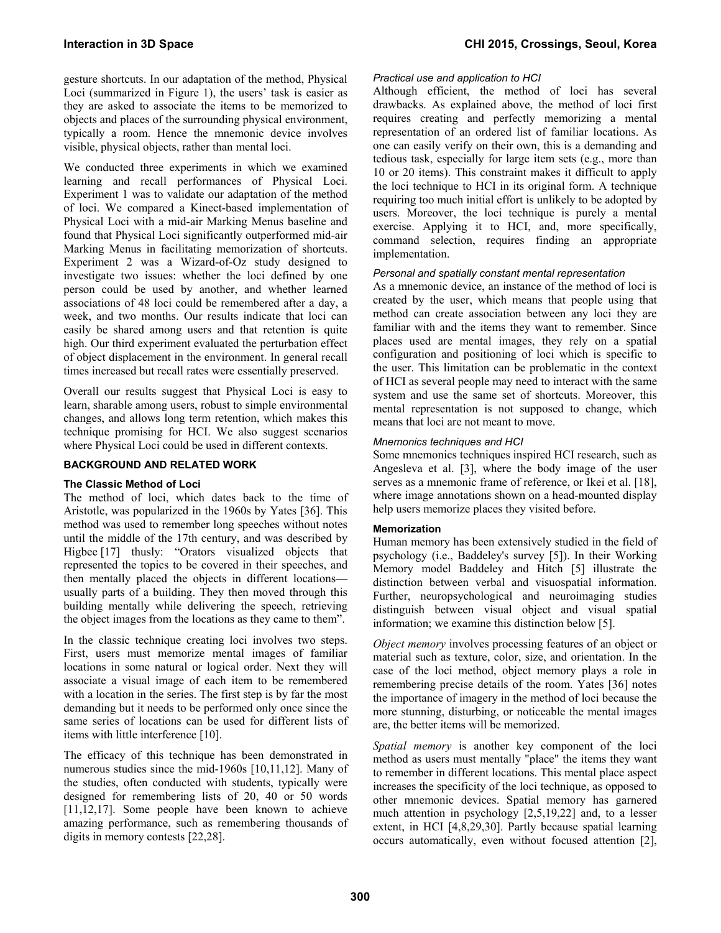gesture shortcuts. In our adaptation of the method, Physical Loci (summarized in Figure 1), the users' task is easier as they are asked to associate the items to be memorized to objects and places of the surrounding physical environment, typically a room. Hence the mnemonic device involves visible, physical objects, rather than mental loci.

We conducted three experiments in which we examined learning and recall performances of Physical Loci. Experiment 1 was to validate our adaptation of the method of loci. We compared a Kinect-based implementation of Physical Loci with a mid-air Marking Menus baseline and found that Physical Loci significantly outperformed mid-air Marking Menus in facilitating memorization of shortcuts. Experiment 2 was a Wizard-of-Oz study designed to investigate two issues: whether the loci defined by one person could be used by another, and whether learned associations of 48 loci could be remembered after a day, a week, and two months. Our results indicate that loci can easily be shared among users and that retention is quite high. Our third experiment evaluated the perturbation effect of object displacement in the environment. In general recall times increased but recall rates were essentially preserved.

Overall our results suggest that Physical Loci is easy to learn, sharable among users, robust to simple environmental changes, and allows long term retention, which makes this technique promising for HCI. We also suggest scenarios where Physical Loci could be used in different contexts.

## **BACKGROUND AND RELATED WORK**

## **The Classic Method of Loci**

The method of loci, which dates back to the time of Aristotle, was popularized in the 1960s by Yates [36]. This method was used to remember long speeches without notes until the middle of the 17th century, and was described by Higbee [17] thusly: "Orators visualized objects that represented the topics to be covered in their speeches, and then mentally placed the objects in different locations usually parts of a building. They then moved through this building mentally while delivering the speech, retrieving the object images from the locations as they came to them".

In the classic technique creating loci involves two steps. First, users must memorize mental images of familiar locations in some natural or logical order. Next they will associate a visual image of each item to be remembered with a location in the series. The first step is by far the most demanding but it needs to be performed only once since the same series of locations can be used for different lists of items with little interference [10].

The efficacy of this technique has been demonstrated in numerous studies since the mid-1960s [10,11,12]. Many of the studies, often conducted with students, typically were designed for remembering lists of 20, 40 or 50 words [11,12,17]. Some people have been known to achieve amazing performance, such as remembering thousands of digits in memory contests [22,28].

# *Practical use and application to HCI*

Although efficient, the method of loci has several drawbacks. As explained above, the method of loci first requires creating and perfectly memorizing a mental representation of an ordered list of familiar locations. As one can easily verify on their own, this is a demanding and tedious task, especially for large item sets (e.g., more than 10 or 20 items). This constraint makes it difficult to apply the loci technique to HCI in its original form. A technique requiring too much initial effort is unlikely to be adopted by users. Moreover, the loci technique is purely a mental exercise. Applying it to HCI, and, more specifically, command selection, requires finding an appropriate implementation.

## *Personal and spatially constant mental representation*

As a mnemonic device, an instance of the method of loci is created by the user, which means that people using that method can create association between any loci they are familiar with and the items they want to remember. Since places used are mental images, they rely on a spatial configuration and positioning of loci which is specific to the user. This limitation can be problematic in the context of HCI as several people may need to interact with the same system and use the same set of shortcuts. Moreover, this mental representation is not supposed to change, which means that loci are not meant to move.

## *Mnemonics techniques and HCI*

Some mnemonics techniques inspired HCI research, such as Angesleva et al. [3], where the body image of the user serves as a mnemonic frame of reference, or Ikei et al. [18], where image annotations shown on a head-mounted display help users memorize places they visited before.

## **Memorization**

Human memory has been extensively studied in the field of psychology (i.e., Baddeley's survey [5]). In their Working Memory model Baddeley and Hitch [5] illustrate the distinction between verbal and visuospatial information. Further, neuropsychological and neuroimaging studies distinguish between visual object and visual spatial information; we examine this distinction below [5].

*Object memory* involves processing features of an object or material such as texture, color, size, and orientation. In the case of the loci method, object memory plays a role in remembering precise details of the room. Yates [36] notes the importance of imagery in the method of loci because the more stunning, disturbing, or noticeable the mental images are, the better items will be memorized.

*Spatial memory* is another key component of the loci method as users must mentally "place" the items they want to remember in different locations. This mental place aspect increases the specificity of the loci technique, as opposed to other mnemonic devices. Spatial memory has garnered much attention in psychology [2,5,19,22] and, to a lesser extent, in HCI [4,8,29,30]. Partly because spatial learning occurs automatically, even without focused attention [2],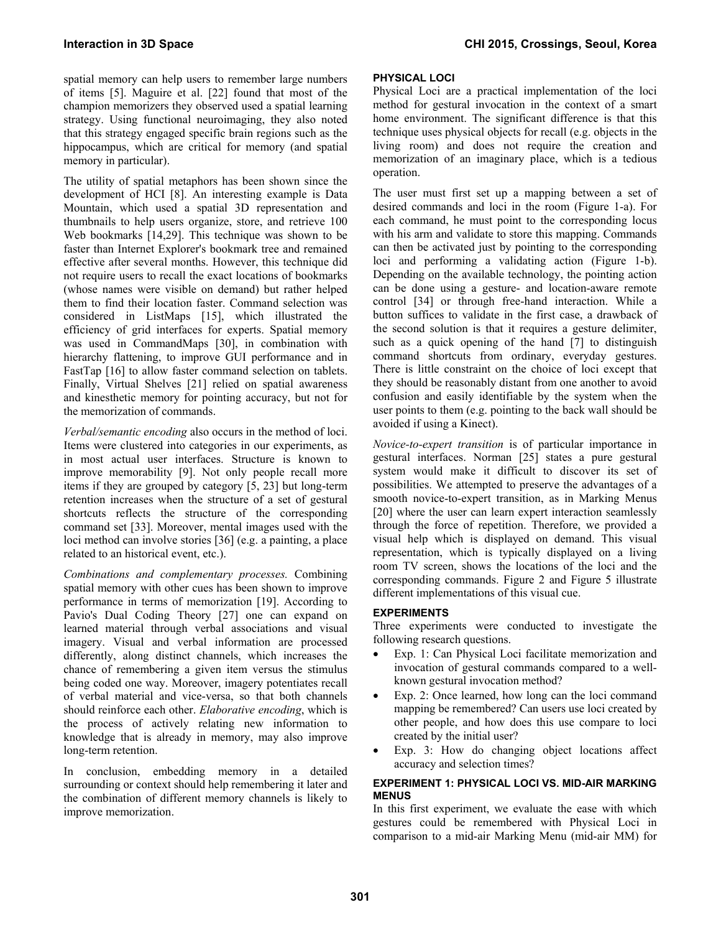spatial memory can help users to remember large numbers of items [5]. Maguire et al. [22] found that most of the champion memorizers they observed used a spatial learning strategy. Using functional neuroimaging, they also noted that this strategy engaged specific brain regions such as the hippocampus, which are critical for memory (and spatial memory in particular).

The utility of spatial metaphors has been shown since the development of HCI [8]. An interesting example is Data Mountain, which used a spatial 3D representation and thumbnails to help users organize, store, and retrieve 100 Web bookmarks [14,29]. This technique was shown to be faster than Internet Explorer's bookmark tree and remained effective after several months. However, this technique did not require users to recall the exact locations of bookmarks (whose names were visible on demand) but rather helped them to find their location faster. Command selection was considered in ListMaps [15], which illustrated the efficiency of grid interfaces for experts. Spatial memory was used in CommandMaps [30], in combination with hierarchy flattening, to improve GUI performance and in FastTap [16] to allow faster command selection on tablets. Finally, Virtual Shelves [21] relied on spatial awareness and kinesthetic memory for pointing accuracy, but not for the memorization of commands.

*Verbal/semantic encoding* also occurs in the method of loci. Items were clustered into categories in our experiments, as in most actual user interfaces. Structure is known to improve memorability [9]. Not only people recall more items if they are grouped by category [5, 23] but long-term retention increases when the structure of a set of gestural shortcuts reflects the structure of the corresponding command set [33]. Moreover, mental images used with the loci method can involve stories [36] (e.g. a painting, a place related to an historical event, etc.).

*Combinations and complementary processes.* Combining spatial memory with other cues has been shown to improve performance in terms of memorization [19]. According to Pavio's Dual Coding Theory [27] one can expand on learned material through verbal associations and visual imagery. Visual and verbal information are processed differently, along distinct channels, which increases the chance of remembering a given item versus the stimulus being coded one way. Moreover, imagery potentiates recall of verbal material and vice-versa, so that both channels should reinforce each other. *Elaborative encoding*, which is the process of actively relating new information to knowledge that is already in memory, may also improve long-term retention.

In conclusion, embedding memory in a detailed surrounding or context should help remembering it later and the combination of different memory channels is likely to improve memorization.

# **PHYSICAL LOCI**

Physical Loci are a practical implementation of the loci method for gestural invocation in the context of a smart home environment. The significant difference is that this technique uses physical objects for recall (e.g. objects in the living room) and does not require the creation and memorization of an imaginary place, which is a tedious operation.

The user must first set up a mapping between a set of desired commands and loci in the room (Figure 1-a). For each command, he must point to the corresponding locus with his arm and validate to store this mapping. Commands can then be activated just by pointing to the corresponding loci and performing a validating action (Figure 1-b). Depending on the available technology, the pointing action can be done using a gesture- and location-aware remote control [34] or through free-hand interaction. While a button suffices to validate in the first case, a drawback of the second solution is that it requires a gesture delimiter, such as a quick opening of the hand [7] to distinguish command shortcuts from ordinary, everyday gestures. There is little constraint on the choice of loci except that they should be reasonably distant from one another to avoid confusion and easily identifiable by the system when the user points to them (e.g. pointing to the back wall should be avoided if using a Kinect).

*Novice-to-expert transition* is of particular importance in gestural interfaces. Norman [25] states a pure gestural system would make it difficult to discover its set of possibilities. We attempted to preserve the advantages of a smooth novice-to-expert transition, as in Marking Menus [20] where the user can learn expert interaction seamlessly through the force of repetition. Therefore, we provided a visual help which is displayed on demand. This visual representation, which is typically displayed on a living room TV screen, shows the locations of the loci and the corresponding commands. Figure 2 and Figure 5 illustrate different implementations of this visual cue.

# **EXPERIMENTS**

Three experiments were conducted to investigate the following research questions.

- Exp. 1: Can Physical Loci facilitate memorization and invocation of gestural commands compared to a wellknown gestural invocation method?
- Exp. 2: Once learned, how long can the loci command mapping be remembered? Can users use loci created by other people, and how does this use compare to loci created by the initial user?
- Exp. 3: How do changing object locations affect accuracy and selection times?

## **EXPERIMENT 1: PHYSICAL LOCI VS. MID-AIR MARKING MENUS**

In this first experiment, we evaluate the ease with which gestures could be remembered with Physical Loci in comparison to a mid-air Marking Menu (mid-air MM) for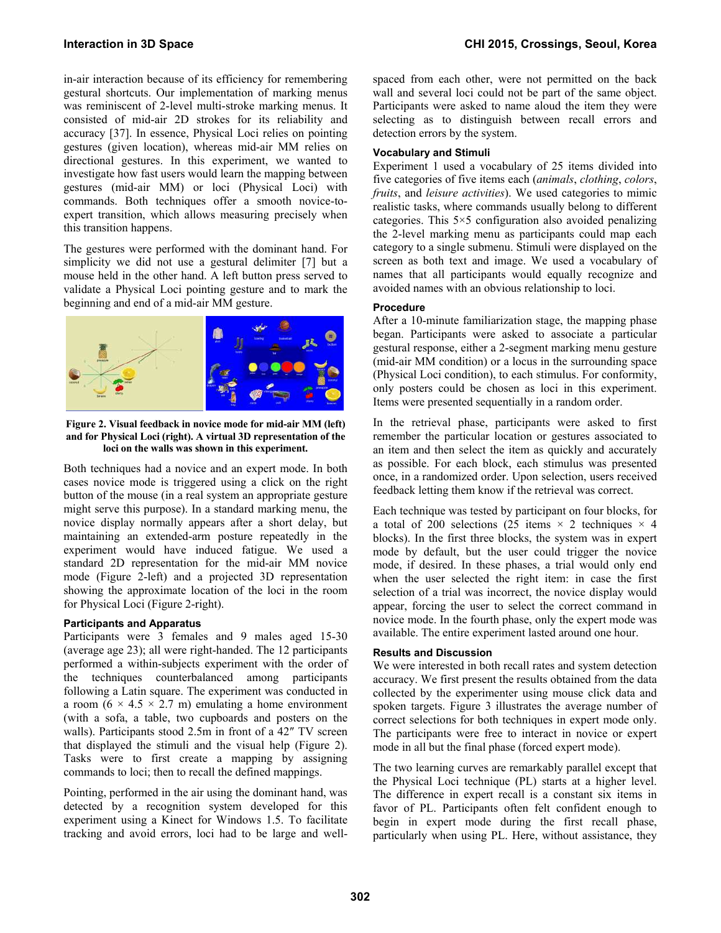in-air interaction because of its efficiency for remembering gestural shortcuts. Our implementation of marking menus was reminiscent of 2-level multi-stroke marking menus. It consisted of mid-air 2D strokes for its reliability and accuracy [37]. In essence, Physical Loci relies on pointing gestures (given location), whereas mid-air MM relies on directional gestures. In this experiment, we wanted to investigate how fast users would learn the mapping between gestures (mid-air MM) or loci (Physical Loci) with commands. Both techniques offer a smooth novice-toexpert transition, which allows measuring precisely when this transition happens.

The gestures were performed with the dominant hand. For simplicity we did not use a gestural delimiter [7] but a mouse held in the other hand. A left button press served to validate a Physical Loci pointing gesture and to mark the beginning and end of a mid-air MM gesture.



**Figure 2. Visual feedback in novice mode for mid-air MM (left) and for Physical Loci (right). A virtual 3D representation of the loci on the walls was shown in this experiment.**

Both techniques had a novice and an expert mode. In both cases novice mode is triggered using a click on the right button of the mouse (in a real system an appropriate gesture might serve this purpose). In a standard marking menu, the novice display normally appears after a short delay, but maintaining an extended-arm posture repeatedly in the experiment would have induced fatigue. We used a standard 2D representation for the mid-air MM novice mode (Figure 2-left) and a projected 3D representation showing the approximate location of the loci in the room for Physical Loci (Figure 2-right).

# **Participants and Apparatus**

Participants were 3 females and 9 males aged 15-30 (average age 23); all were right-handed. The 12 participants performed a within-subjects experiment with the order of the techniques counterbalanced among participants following a Latin square. The experiment was conducted in a room  $(6 \times 4.5 \times 2.7 \text{ m})$  emulating a home environment (with a sofa, a table, two cupboards and posters on the walls). Participants stood 2.5m in front of a 42" TV screen that displayed the stimuli and the visual help (Figure 2). Tasks were to first create a mapping by assigning commands to loci; then to recall the defined mappings.

Pointing, performed in the air using the dominant hand, was detected by a recognition system developed for this experiment using a Kinect for Windows 1.5. To facilitate tracking and avoid errors, loci had to be large and wellspaced from each other, were not permitted on the back wall and several loci could not be part of the same object. Participants were asked to name aloud the item they were selecting as to distinguish between recall errors and detection errors by the system.

# **Vocabulary and Stimuli**

Experiment 1 used a vocabulary of 25 items divided into five categories of five items each (*animals*, *clothing*, *colors*, *fruits*, and *leisure activities*). We used categories to mimic realistic tasks, where commands usually belong to different categories. This 5×5 configuration also avoided penalizing the 2-level marking menu as participants could map each category to a single submenu. Stimuli were displayed on the screen as both text and image. We used a vocabulary of names that all participants would equally recognize and avoided names with an obvious relationship to loci.

## **Procedure**

After a 10-minute familiarization stage, the mapping phase began. Participants were asked to associate a particular gestural response, either a 2-segment marking menu gesture (mid-air MM condition) or a locus in the surrounding space (Physical Loci condition), to each stimulus. For conformity, only posters could be chosen as loci in this experiment. Items were presented sequentially in a random order.

In the retrieval phase, participants were asked to first remember the particular location or gestures associated to an item and then select the item as quickly and accurately as possible. For each block, each stimulus was presented once, in a randomized order. Upon selection, users received feedback letting them know if the retrieval was correct.

Each technique was tested by participant on four blocks, for a total of 200 selections (25 items  $\times$  2 techniques  $\times$  4 blocks). In the first three blocks, the system was in expert mode by default, but the user could trigger the novice mode, if desired. In these phases, a trial would only end when the user selected the right item: in case the first selection of a trial was incorrect, the novice display would appear, forcing the user to select the correct command in novice mode. In the fourth phase, only the expert mode was available. The entire experiment lasted around one hour.

## **Results and Discussion**

We were interested in both recall rates and system detection accuracy. We first present the results obtained from the data collected by the experimenter using mouse click data and spoken targets. Figure 3 illustrates the average number of correct selections for both techniques in expert mode only. The participants were free to interact in novice or expert mode in all but the final phase (forced expert mode).

The two learning curves are remarkably parallel except that the Physical Loci technique (PL) starts at a higher level. The difference in expert recall is a constant six items in favor of PL. Participants often felt confident enough to begin in expert mode during the first recall phase, particularly when using PL. Here, without assistance, they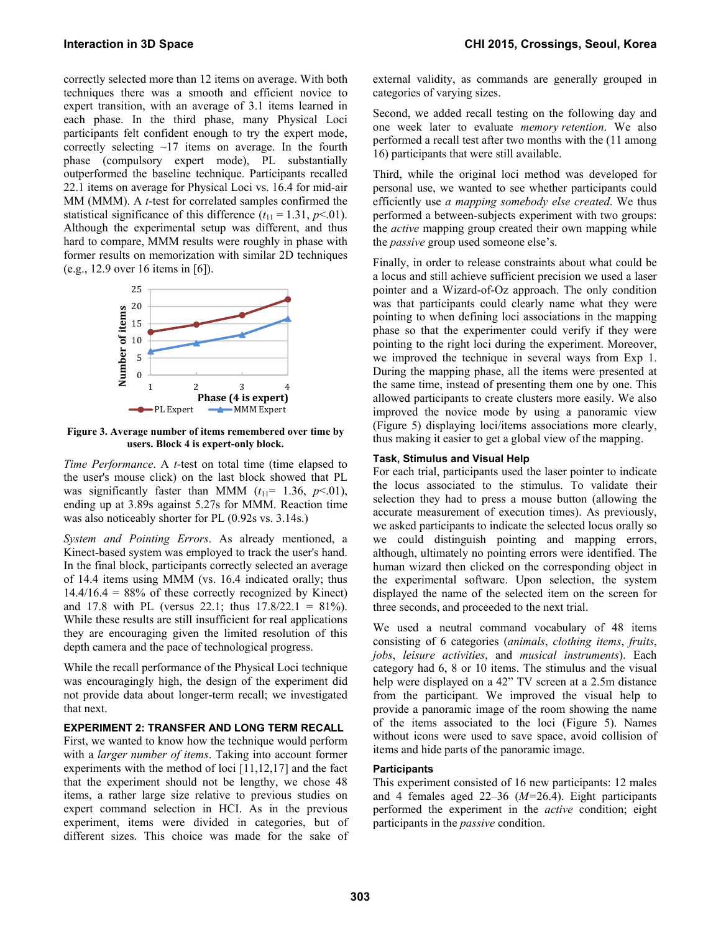correctly selected more than 12 items on average. With both techniques there was a smooth and efficient novice to expert transition, with an average of 3.1 items learned in each phase. In the third phase, many Physical Loci participants felt confident enough to try the expert mode, correctly selecting  $\sim$ 17 items on average. In the fourth phase (compulsory expert mode), PL substantially outperformed the baseline technique. Participants recalled 22.1 items on average for Physical Loci vs. 16.4 for mid-air MM (MMM). A *t*-test for correlated samples confirmed the statistical significance of this difference  $(t_{11} = 1.31, p<0.01)$ . Although the experimental setup was different, and thus hard to compare, MMM results were roughly in phase with former results on memorization with similar 2D techniques (e.g., 12.9 over 16 items in [6]).



**Figure 3. Average number of items remembered over time by users. Block 4 is expert-only block.** 

*Time Performance*. A *t*-test on total time (time elapsed to the user's mouse click) on the last block showed that PL was significantly faster than MMM  $(t_{11}= 1.36, p<0.01)$ , ending up at 3.89s against 5.27s for MMM. Reaction time was also noticeably shorter for PL (0.92s vs. 3.14s.)

*System and Pointing Errors*. As already mentioned, a Kinect-based system was employed to track the user's hand. In the final block, participants correctly selected an average of 14.4 items using MMM (vs. 16.4 indicated orally; thus  $14.4/16.4 = 88\%$  of these correctly recognized by Kinect) and 17.8 with PL (versus 22.1; thus  $17.8/22.1 = 81\%$ ). While these results are still insufficient for real applications they are encouraging given the limited resolution of this depth camera and the pace of technological progress.

While the recall performance of the Physical Loci technique was encouragingly high, the design of the experiment did not provide data about longer-term recall; we investigated that next.

## **EXPERIMENT 2: TRANSFER AND LONG TERM RECALL**

First, we wanted to know how the technique would perform with a *larger number of items*. Taking into account former experiments with the method of loci [11,12,17] and the fact that the experiment should not be lengthy, we chose 48 items, a rather large size relative to previous studies on expert command selection in HCI. As in the previous experiment, items were divided in categories, but of different sizes. This choice was made for the sake of external validity, as commands are generally grouped in categories of varying sizes.

Second, we added recall testing on the following day and one week later to evaluate *memory retention*. We also performed a recall test after two months with the (11 among 16) participants that were still available.

Third, while the original loci method was developed for personal use, we wanted to see whether participants could efficiently use *a mapping somebody else created*. We thus performed a between-subjects experiment with two groups: the *active* mapping group created their own mapping while the *passive* group used someone else's.

Finally, in order to release constraints about what could be a locus and still achieve sufficient precision we used a laser pointer and a Wizard-of-Oz approach. The only condition was that participants could clearly name what they were pointing to when defining loci associations in the mapping phase so that the experimenter could verify if they were pointing to the right loci during the experiment. Moreover, we improved the technique in several ways from Exp 1. During the mapping phase, all the items were presented at the same time, instead of presenting them one by one. This allowed participants to create clusters more easily. We also improved the novice mode by using a panoramic view (Figure 5) displaying loci/items associations more clearly, thus making it easier to get a global view of the mapping.

## **Task, Stimulus and Visual Help**

For each trial, participants used the laser pointer to indicate the locus associated to the stimulus. To validate their selection they had to press a mouse button (allowing the accurate measurement of execution times). As previously, we asked participants to indicate the selected locus orally so we could distinguish pointing and mapping errors, although, ultimately no pointing errors were identified. The human wizard then clicked on the corresponding object in the experimental software. Upon selection, the system displayed the name of the selected item on the screen for three seconds, and proceeded to the next trial.

We used a neutral command vocabulary of 48 items consisting of 6 categories (*animals*, *clothing items*, *fruits*, *jobs*, *leisure activities*, and *musical instruments*). Each category had 6, 8 or 10 items. The stimulus and the visual help were displayed on a 42" TV screen at a 2.5m distance from the participant. We improved the visual help to provide a panoramic image of the room showing the name of the items associated to the loci (Figure 5). Names without icons were used to save space, avoid collision of items and hide parts of the panoramic image.

## **Participants**

This experiment consisted of 16 new participants: 12 males and 4 females aged 22–36 (*M=*26.4). Eight participants performed the experiment in the *active* condition; eight participants in the *passive* condition.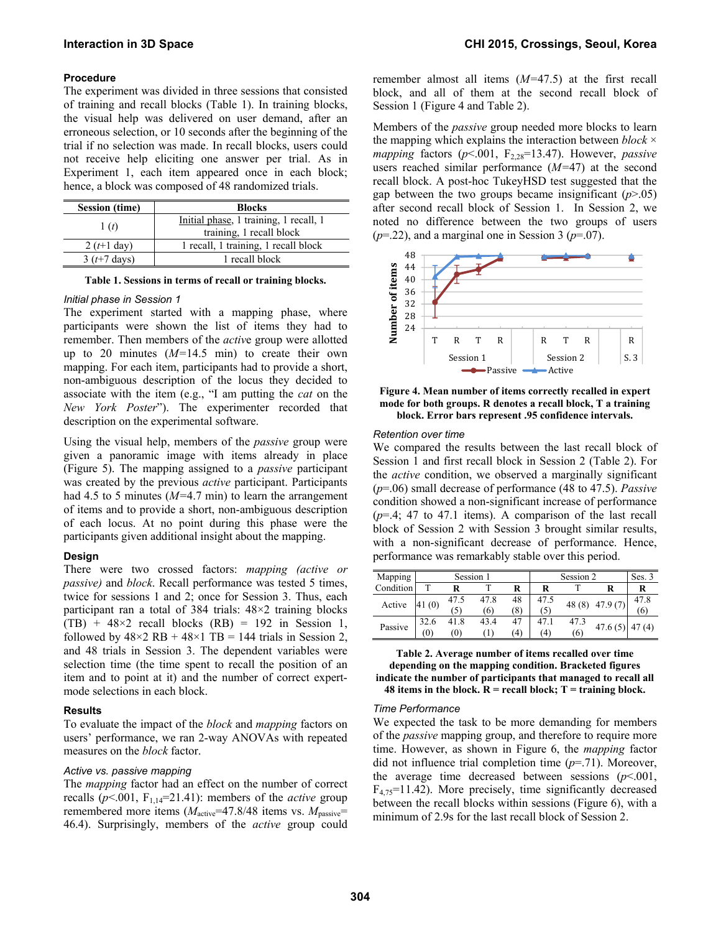## **Procedure**

The experiment was divided in three sessions that consisted of training and recall blocks (Table 1). In training blocks, the visual help was delivered on user demand, after an erroneous selection, or 10 seconds after the beginning of the trial if no selection was made. In recall blocks, users could not receive help eliciting one answer per trial. As in Experiment 1, each item appeared once in each block; hence, a block was composed of 48 randomized trials.

| <b>Session (time)</b> | <b>Blocks</b>                                                      |  |  |  |  |  |
|-----------------------|--------------------------------------------------------------------|--|--|--|--|--|
| 1(t)                  | Initial phase, 1 training, 1 recall, 1<br>training, 1 recall block |  |  |  |  |  |
| $2(t+1)$ day)         | 1 recall, 1 training, 1 recall block                               |  |  |  |  |  |
| 3 $(t+7$ days)        | 1 recall block                                                     |  |  |  |  |  |

**Table 1. Sessions in terms of recall or training blocks.** 

#### *Initial phase in Session 1*

The experiment started with a mapping phase, where participants were shown the list of items they had to remember. Then members of the *activ*e group were allotted up to 20 minutes (*M=*14.5 min) to create their own mapping. For each item, participants had to provide a short, non-ambiguous description of the locus they decided to associate with the item (e.g., "I am putting the *cat* on the *New York Poster*"). The experimenter recorded that description on the experimental software.

Using the visual help, members of the *passive* group were given a panoramic image with items already in place (Figure 5). The mapping assigned to a *passive* participant was created by the previous *active* participant. Participants had 4.5 to 5 minutes (*M=*4.7 min) to learn the arrangement of items and to provide a short, non-ambiguous description of each locus. At no point during this phase were the participants given additional insight about the mapping.

#### **Design**

There were two crossed factors: *mapping (active or passive)* and *block*. Recall performance was tested 5 times, twice for sessions 1 and 2; once for Session 3. Thus, each participant ran a total of 384 trials: 48×2 training blocks  $(TB) + 48 \times 2$  recall blocks  $(RB) = 192$  in Session 1, followed by  $48\times2$  RB +  $48\times1$  TB = 144 trials in Session 2, and 48 trials in Session 3. The dependent variables were selection time (the time spent to recall the position of an item and to point at it) and the number of correct expertmode selections in each block.

#### **Results**

To evaluate the impact of the *block* and *mapping* factors on users' performance, we ran 2-way ANOVAs with repeated measures on the *block* factor.

## *Active vs. passive mapping*

The *mapping* factor had an effect on the number of correct recalls ( $p$ <.001,  $F_{1,14}$ =21.41): members of the *active* group remembered more items  $(M<sub>active</sub>=47.8/48$  items vs.  $M<sub>passive</sub>=$ 46.4). Surprisingly, members of the *active* group could remember almost all items (*M=*47.5) at the first recall block, and all of them at the second recall block of Session 1 (Figure 4 and Table 2).

Members of the *passive* group needed more blocks to learn the mapping which explains the interaction between *block* × *mapping* factors  $(p<.001, F<sub>2.28</sub>=13.47)$ . However, *passive* users reached similar performance (*M=*47) at the second recall block. A post-hoc TukeyHSD test suggested that the gap between the two groups became insignificant  $(p>0.05)$ after second recall block of Session 1. In Session 2, we noted no difference between the two groups of users  $(p=0.22)$ , and a marginal one in Session 3 ( $p=0.07$ ).



**Figure 4. Mean number of items correctly recalled in expert mode for both groups. R denotes a recall block, T a training block. Error bars represent .95 confidence intervals.** 

#### *Retention over time*

We compared the results between the last recall block of Session 1 and first recall block in Session 2 (Table 2). For the *active* condition, we observed a marginally significant (*p*=.06) small decrease of performance (48 to 47.5). *Passive* condition showed a non-significant increase of performance (*p*=.4; 47 to 47.1 items). A comparison of the last recall block of Session 2 with Session 3 brought similar results, with a non-significant decrease of performance. Hence, performance was remarkably stable over this period.

| Mapping   | Session 1 |      |      |     | Session 2 | Ses. 3 |         |       |
|-----------|-----------|------|------|-----|-----------|--------|---------|-------|
| Condition |           |      |      | R   |           |        |         | R     |
| Active    | 41(0)     | 47.5 | 47.8 | 48  | 47.5      | 48(8)  | 47.9(7) | 47.8  |
|           |           | (5)  | (6)  | (8) | (5)       |        |         | (6    |
| Passive   | 32.6      | 41.8 | 43.4 | 47  | 47.1      | 47.3   | 47.6(5) | 47(4) |
|           | (0)       | (0)  |      | (4) | (4)       | (6)    |         |       |

**Table 2. Average number of items recalled over time depending on the mapping condition. Bracketed figures indicate the number of participants that managed to recall all 48 items in the block.**  $R = \text{recall block}$ **;**  $T = \text{training block}$ **.** 

#### *Time Performance*

We expected the task to be more demanding for members of the *passive* mapping group, and therefore to require more time. However, as shown in Figure 6, the *mapping* factor did not influence trial completion time (*p*=.71). Moreover, the average time decreased between sessions (*p*<.001,  $F_{4,75}=11.42$ ). More precisely, time significantly decreased between the recall blocks within sessions (Figure 6), with a minimum of 2.9s for the last recall block of Session 2.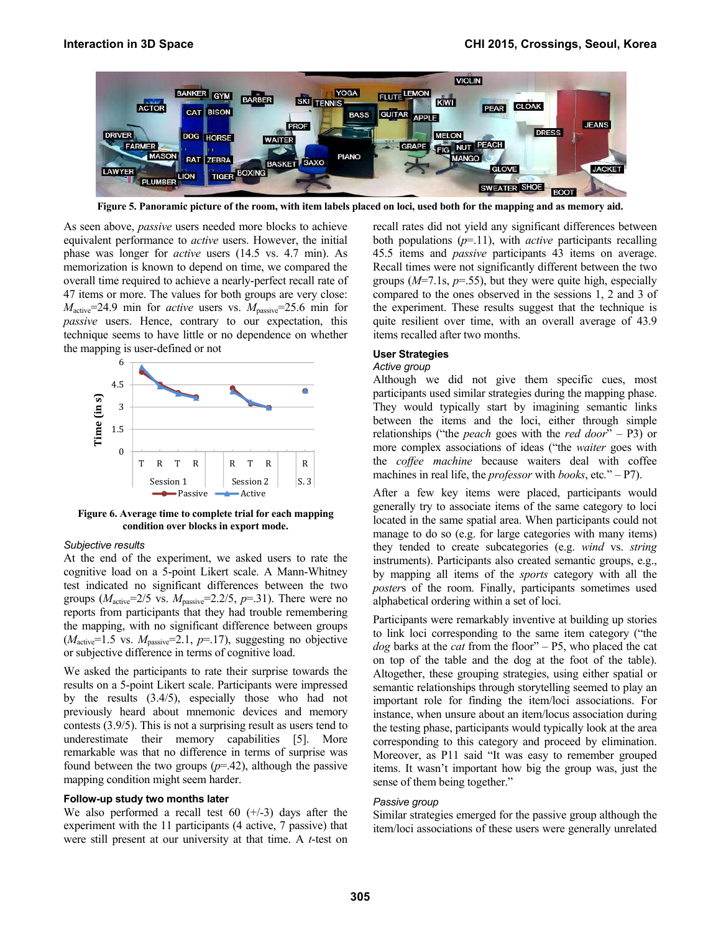

**Figure 5. Panoramic picture of the room, with item labels placed on loci, used both for the mapping and as memory aid.** 

As seen above, *passive* users needed more blocks to achieve equivalent performance to *active* users. However, the initial phase was longer for *active* users (14.5 vs. 4.7 min). As memorization is known to depend on time, we compared the overall time required to achieve a nearly-perfect recall rate of 47 items or more. The values for both groups are very close:  $M<sub>active</sub>=24.9$  min for *active* users vs.  $M<sub>passive</sub>=25.6$  min for *passive* users. Hence, contrary to our expectation, this technique seems to have little or no dependence on whether the mapping is user-defined or not



**Figure 6. Average time to complete trial for each mapping condition over blocks in export mode.** 

## *Subjective results*

At the end of the experiment, we asked users to rate the cognitive load on a 5-point Likert scale. A Mann-Whitney test indicated no significant differences between the two groups  $(M<sub>active</sub>=2/5$  vs.  $M<sub>passive</sub>=2.2/5, p=.31$ ). There were no reports from participants that they had trouble remembering the mapping, with no significant difference between groups  $(M<sub>active</sub>=1.5$  vs.  $M<sub>passive</sub>=2.1, p=.17)$ , suggesting no objective or subjective difference in terms of cognitive load.

We asked the participants to rate their surprise towards the results on a 5-point Likert scale. Participants were impressed by the results (3.4/5), especially those who had not previously heard about mnemonic devices and memory contests (3.9/5). This is not a surprising result as users tend to underestimate their memory capabilities [5]. More remarkable was that no difference in terms of surprise was found between the two groups  $(p=.42)$ , although the passive mapping condition might seem harder.

#### **Follow-up study two months later**

We also performed a recall test  $60 (+/-3)$  days after the experiment with the 11 participants (4 active, 7 passive) that were still present at our university at that time. A *t*-test on recall rates did not yield any significant differences between both populations (*p*=.11), with *active* participants recalling 45.5 items and *passive* participants 43 items on average. Recall times were not significantly different between the two groups  $(M=7.1s, p=.55)$ , but they were quite high, especially compared to the ones observed in the sessions 1, 2 and 3 of the experiment. These results suggest that the technique is quite resilient over time, with an overall average of 43.9 items recalled after two months.

#### **User Strategies**

## *Active group*

Although we did not give them specific cues, most participants used similar strategies during the mapping phase. They would typically start by imagining semantic links between the items and the loci, either through simple relationships ("the *peach* goes with the *red door*" – P3) or more complex associations of ideas ("the *waiter* goes with the *coffee machine* because waiters deal with coffee machines in real life, the *professor* with *books*, etc*.*" – P7).

After a few key items were placed, participants would generally try to associate items of the same category to loci located in the same spatial area. When participants could not manage to do so (e.g. for large categories with many items) they tended to create subcategories (e.g. *wind* vs. *string* instruments). Participants also created semantic groups, e.g., by mapping all items of the *sports* category with all the *poster*s of the room. Finally, participants sometimes used alphabetical ordering within a set of loci.

Participants were remarkably inventive at building up stories to link loci corresponding to the same item category ("the *dog* barks at the *cat* from the floor" – P5, who placed the cat on top of the table and the dog at the foot of the table). Altogether, these grouping strategies, using either spatial or semantic relationships through storytelling seemed to play an important role for finding the item/loci associations. For instance, when unsure about an item/locus association during the testing phase, participants would typically look at the area corresponding to this category and proceed by elimination. Moreover, as P11 said "It was easy to remember grouped items. It wasn't important how big the group was, just the sense of them being together."

#### *Passive group*

Similar strategies emerged for the passive group although the item/loci associations of these users were generally unrelated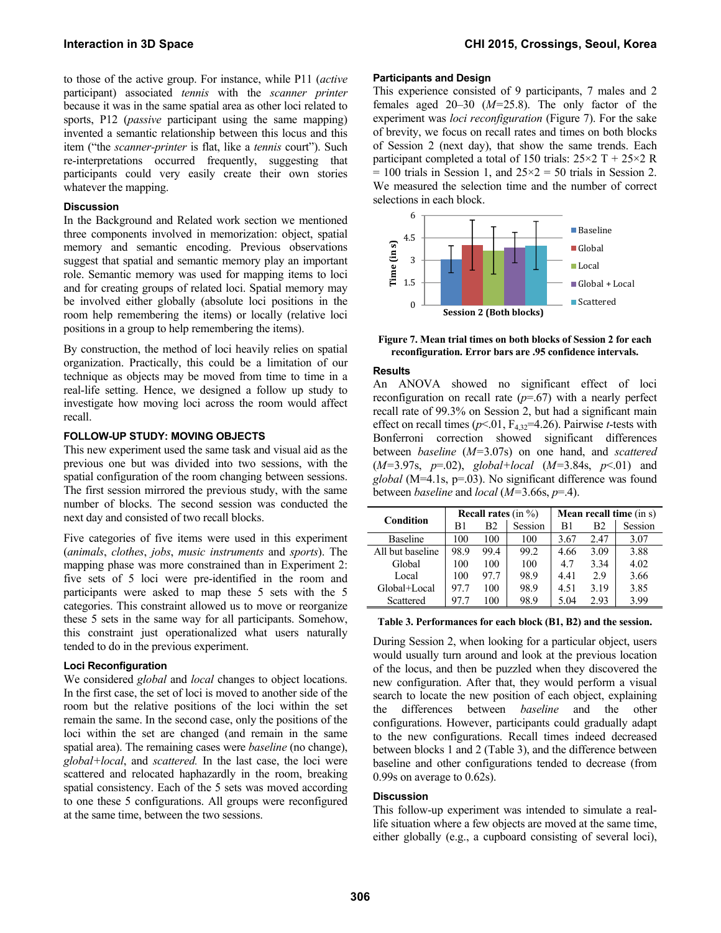to those of the active group. For instance, while P11 (*active* participant) associated *tennis* with the *scanner printer* because it was in the same spatial area as other loci related to sports, P12 (*passive* participant using the same mapping) invented a semantic relationship between this locus and this item ("the *scanner-printer* is flat, like a *tennis* court"). Such re-interpretations occurred frequently, suggesting that participants could very easily create their own stories whatever the mapping.

## **Discussion**

In the Background and Related work section we mentioned three components involved in memorization: object, spatial memory and semantic encoding. Previous observations suggest that spatial and semantic memory play an important role. Semantic memory was used for mapping items to loci and for creating groups of related loci. Spatial memory may be involved either globally (absolute loci positions in the room help remembering the items) or locally (relative loci positions in a group to help remembering the items).

By construction, the method of loci heavily relies on spatial organization. Practically, this could be a limitation of our technique as objects may be moved from time to time in a real-life setting. Hence, we designed a follow up study to investigate how moving loci across the room would affect recall.

## **FOLLOW-UP STUDY: MOVING OBJECTS**

This new experiment used the same task and visual aid as the previous one but was divided into two sessions, with the spatial configuration of the room changing between sessions. The first session mirrored the previous study, with the same number of blocks. The second session was conducted the next day and consisted of two recall blocks.

Five categories of five items were used in this experiment (*animals*, *clothes*, *jobs*, *music instruments* and *sports*). The mapping phase was more constrained than in Experiment 2: five sets of 5 loci were pre-identified in the room and participants were asked to map these 5 sets with the 5 categories. This constraint allowed us to move or reorganize these 5 sets in the same way for all participants. Somehow, this constraint just operationalized what users naturally tended to do in the previous experiment.

## **Loci Reconfiguration**

We considered *global* and *local* changes to object locations. In the first case, the set of loci is moved to another side of the room but the relative positions of the loci within the set remain the same. In the second case, only the positions of the loci within the set are changed (and remain in the same spatial area). The remaining cases were *baseline* (no change), *global+local*, and *scattered.* In the last case, the loci were scattered and relocated haphazardly in the room, breaking spatial consistency. Each of the 5 sets was moved according to one these 5 configurations. All groups were reconfigured at the same time, between the two sessions.

## **Participants and Design**

This experience consisted of 9 participants, 7 males and 2 females aged 20–30 (*M=*25.8). The only factor of the experiment was *loci reconfiguration* (Figure 7). For the sake of brevity, we focus on recall rates and times on both blocks of Session 2 (next day), that show the same trends. Each participant completed a total of 150 trials:  $25\times2$  T +  $25\times2$  R  $= 100$  trials in Session 1, and  $25 \times 2 = 50$  trials in Session 2. We measured the selection time and the number of correct selections in each block.



**Figure 7. Mean trial times on both blocks of Session 2 for each reconfiguration. Error bars are .95 confidence intervals.** 

## **Results**

An ANOVA showed no significant effect of loci reconfiguration on recall rate (*p*=.67) with a nearly perfect recall rate of 99.3% on Session 2, but had a significant main effect on recall times ( $p$ <.01,  $F_{4,32}$ =4.26). Pairwise *t*-tests with Bonferroni correction showed significant differences between *baseline* (*M=*3.07s) on one hand, and *scattered* (*M=*3.97s, *p*=.02), *global+local* (*M=*3.84s, *p*<.01) and *global* (M=4.1s, p=.03). No significant difference was found between *baseline* and *local* (*M=*3.66s, *p*=.4).

| Condition        |      |      | <b>Recall rates</b> (in $\%$ ) | Mean recall time (in s) |                |         |  |
|------------------|------|------|--------------------------------|-------------------------|----------------|---------|--|
|                  | B1   | B2   | Session                        | B1                      | B <sub>2</sub> | Session |  |
| <b>Baseline</b>  | 100  | 100  | 100                            | 3.67                    | 2.47           | 3.07    |  |
| All but baseline | 98.9 | 99.4 | 99.2                           | 4.66                    | 3.09           | 3.88    |  |
| Global           | 100  | 100  | 100                            | 4.7                     | 3.34           | 4.02    |  |
| Local            | 100  | 97.7 | 98.9                           | 4.41                    | 2.9            | 3.66    |  |
| Global+Local     | 977  | 100  | 98.9                           | 4.51                    | 3.19           | 3.85    |  |
| Scattered        | 97 7 | 100  | 98.9                           | 5.04                    | 2.93           | 3.99    |  |

#### **Table 3. Performances for each block (B1, B2) and the session.**

During Session 2, when looking for a particular object, users would usually turn around and look at the previous location of the locus, and then be puzzled when they discovered the new configuration. After that, they would perform a visual search to locate the new position of each object, explaining the differences between *baseline* and the other configurations. However, participants could gradually adapt to the new configurations. Recall times indeed decreased between blocks 1 and 2 (Table 3), and the difference between baseline and other configurations tended to decrease (from 0.99s on average to 0.62s).

## **Discussion**

This follow-up experiment was intended to simulate a reallife situation where a few objects are moved at the same time, either globally (e.g., a cupboard consisting of several loci),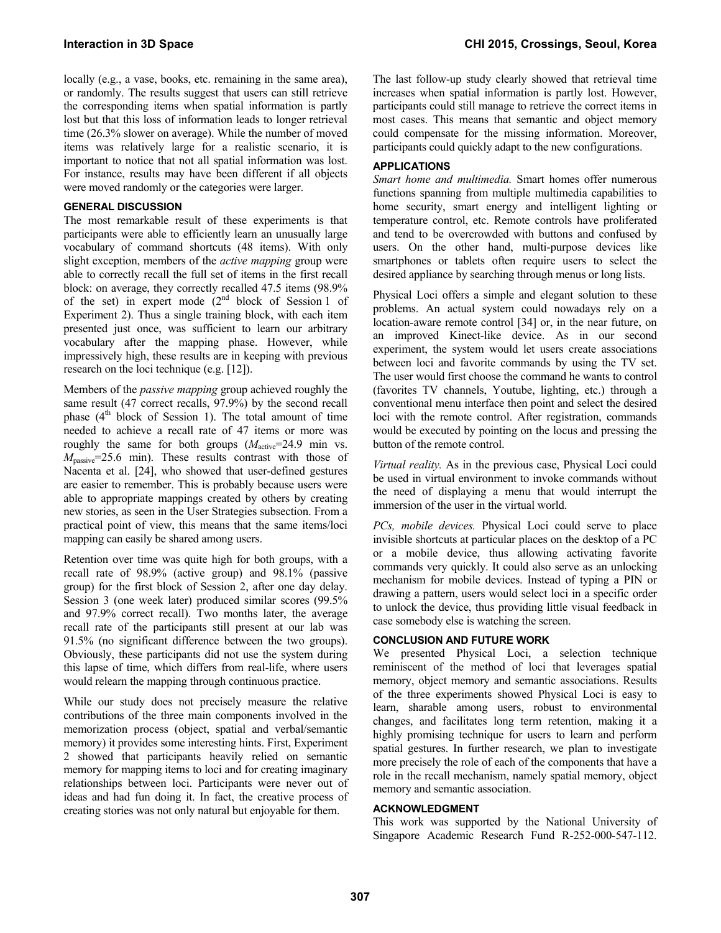locally (e.g., a vase, books, etc. remaining in the same area), or randomly. The results suggest that users can still retrieve the corresponding items when spatial information is partly lost but that this loss of information leads to longer retrieval time (26.3% slower on average). While the number of moved items was relatively large for a realistic scenario, it is important to notice that not all spatial information was lost. For instance, results may have been different if all objects were moved randomly or the categories were larger.

## **GENERAL DISCUSSION**

The most remarkable result of these experiments is that participants were able to efficiently learn an unusually large vocabulary of command shortcuts (48 items). With only slight exception, members of the *active mapping* group were able to correctly recall the full set of items in the first recall block: on average, they correctly recalled 47.5 items (98.9% of the set) in expert mode  $(2<sup>nd</sup>$  block of Session 1 of Experiment 2). Thus a single training block, with each item presented just once, was sufficient to learn our arbitrary vocabulary after the mapping phase. However, while impressively high, these results are in keeping with previous research on the loci technique (e.g. [12]).

Members of the *passive mapping* group achieved roughly the same result (47 correct recalls, 97.9%) by the second recall phase  $(4<sup>th</sup>$  block of Session 1). The total amount of time needed to achieve a recall rate of 47 items or more was roughly the same for both groups  $(M<sub>active</sub>=24.9$  min vs. *M*<sub>passive</sub>=25.6 min). These results contrast with those of Nacenta et al. [24], who showed that user-defined gestures are easier to remember. This is probably because users were able to appropriate mappings created by others by creating new stories, as seen in the User Strategies subsection. From a practical point of view, this means that the same items/loci mapping can easily be shared among users.

Retention over time was quite high for both groups, with a recall rate of 98.9% (active group) and 98.1% (passive group) for the first block of Session 2, after one day delay. Session 3 (one week later) produced similar scores (99.5% and 97.9% correct recall). Two months later, the average recall rate of the participants still present at our lab was 91.5% (no significant difference between the two groups). Obviously, these participants did not use the system during this lapse of time, which differs from real-life, where users would relearn the mapping through continuous practice.

While our study does not precisely measure the relative contributions of the three main components involved in the memorization process (object, spatial and verbal/semantic memory) it provides some interesting hints. First, Experiment 2 showed that participants heavily relied on semantic memory for mapping items to loci and for creating imaginary relationships between loci. Participants were never out of ideas and had fun doing it. In fact, the creative process of creating stories was not only natural but enjoyable for them.

The last follow-up study clearly showed that retrieval time increases when spatial information is partly lost. However, participants could still manage to retrieve the correct items in most cases. This means that semantic and object memory could compensate for the missing information. Moreover, participants could quickly adapt to the new configurations.

# **APPLICATIONS**

*Smart home and multimedia.* Smart homes offer numerous functions spanning from multiple multimedia capabilities to home security, smart energy and intelligent lighting or temperature control, etc. Remote controls have proliferated and tend to be overcrowded with buttons and confused by users. On the other hand, multi-purpose devices like smartphones or tablets often require users to select the desired appliance by searching through menus or long lists.

Physical Loci offers a simple and elegant solution to these problems. An actual system could nowadays rely on a location-aware remote control [34] or, in the near future, on an improved Kinect-like device. As in our second experiment, the system would let users create associations between loci and favorite commands by using the TV set. The user would first choose the command he wants to control (favorites TV channels, Youtube, lighting, etc.) through a conventional menu interface then point and select the desired loci with the remote control. After registration, commands would be executed by pointing on the locus and pressing the button of the remote control.

*Virtual reality.* As in the previous case, Physical Loci could be used in virtual environment to invoke commands without the need of displaying a menu that would interrupt the immersion of the user in the virtual world.

*PCs, mobile devices.* Physical Loci could serve to place invisible shortcuts at particular places on the desktop of a PC or a mobile device, thus allowing activating favorite commands very quickly. It could also serve as an unlocking mechanism for mobile devices. Instead of typing a PIN or drawing a pattern, users would select loci in a specific order to unlock the device, thus providing little visual feedback in case somebody else is watching the screen.

# **CONCLUSION AND FUTURE WORK**

We presented Physical Loci, a selection technique reminiscent of the method of loci that leverages spatial memory, object memory and semantic associations. Results of the three experiments showed Physical Loci is easy to learn, sharable among users, robust to environmental changes, and facilitates long term retention, making it a highly promising technique for users to learn and perform spatial gestures. In further research, we plan to investigate more precisely the role of each of the components that have a role in the recall mechanism, namely spatial memory, object memory and semantic association.

## **ACKNOWLEDGMENT**

This work was supported by the National University of Singapore Academic Research Fund R-252-000-547-112.